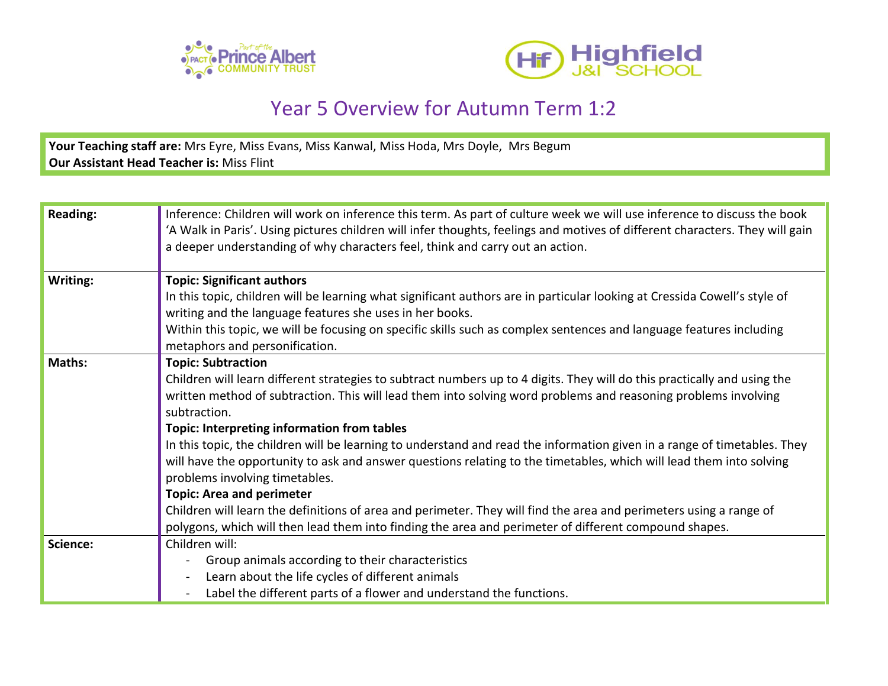



## Year 5 Overview for Autumn Term 1:2

**Your Teaching staff are:** Mrs Eyre, Miss Evans, Miss Kanwal, Miss Hoda, Mrs Doyle, Mrs Begum **Our Assistant Head Teacher is:** Miss Flint

| <b>Reading:</b> | Inference: Children will work on inference this term. As part of culture week we will use inference to discuss the book<br>'A Walk in Paris'. Using pictures children will infer thoughts, feelings and motives of different characters. They will gain<br>a deeper understanding of why characters feel, think and carry out an action.                                                                                                                                                                                                                                                                                                                                                                                                                                                                                                                                                              |
|-----------------|-------------------------------------------------------------------------------------------------------------------------------------------------------------------------------------------------------------------------------------------------------------------------------------------------------------------------------------------------------------------------------------------------------------------------------------------------------------------------------------------------------------------------------------------------------------------------------------------------------------------------------------------------------------------------------------------------------------------------------------------------------------------------------------------------------------------------------------------------------------------------------------------------------|
| Writing:        | <b>Topic: Significant authors</b><br>In this topic, children will be learning what significant authors are in particular looking at Cressida Cowell's style of<br>writing and the language features she uses in her books.<br>Within this topic, we will be focusing on specific skills such as complex sentences and language features including<br>metaphors and personification.                                                                                                                                                                                                                                                                                                                                                                                                                                                                                                                   |
| Maths:          | <b>Topic: Subtraction</b><br>Children will learn different strategies to subtract numbers up to 4 digits. They will do this practically and using the<br>written method of subtraction. This will lead them into solving word problems and reasoning problems involving<br>subtraction.<br><b>Topic: Interpreting information from tables</b><br>In this topic, the children will be learning to understand and read the information given in a range of timetables. They<br>will have the opportunity to ask and answer questions relating to the timetables, which will lead them into solving<br>problems involving timetables.<br><b>Topic: Area and perimeter</b><br>Children will learn the definitions of area and perimeter. They will find the area and perimeters using a range of<br>polygons, which will then lead them into finding the area and perimeter of different compound shapes. |
| Science:        | Children will:<br>Group animals according to their characteristics<br>Learn about the life cycles of different animals<br>Label the different parts of a flower and understand the functions.                                                                                                                                                                                                                                                                                                                                                                                                                                                                                                                                                                                                                                                                                                         |